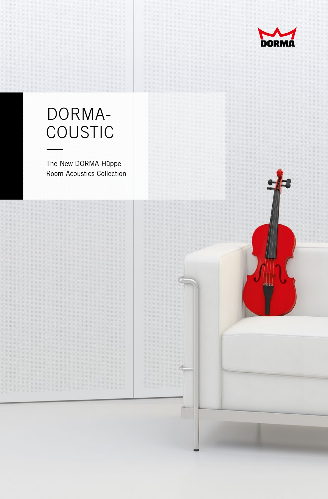

## DORMA coustic —

The New DORMA Hüppe Room Acoustics Collection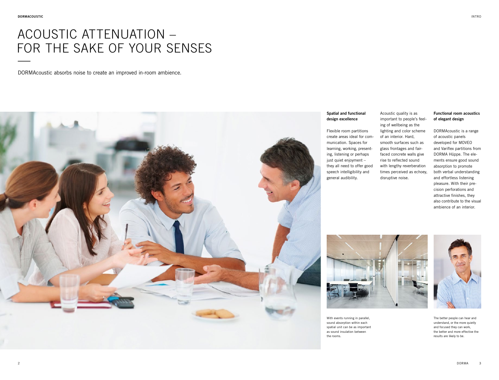# ACOUSTIC ATTENUATION – FOR THE SAKE OF YOUR SENSES

DORMAcoustic absorbs noise to create an improved in-room ambience.



### **Spatial and functional design excellence**

Flexible room partitions create areas ideal for communication. Spaces for learning, working, presenting, listening or perhaps just quiet enjoyment – they all need to offer good speech intelligibility and general audibility.

Acoustic quality is as important to people's feeling of wellbeing as the lighting and color scheme of an interior. Hard, smooth surfaces such as glass frontages and fairfaced concrete walls give rise to reflected sound with lengthy reverberation times perceived as echoey, disruptive noise.

**Functional room acoustics of elegant design**

DORMAcoustic is a range of acoustic panels developed for MOVEO and Variflex partitions from DORMA Hüppe. The elements ensure good sound absorption to promote both verbal understanding and effortless listening pleasure. With their precision perforations and attractive finishes, they also contribute to the visual ambience of an interior.



With events running in parallel, sound absorption within each spatial unit can be as important as sound insulation between the rooms.



The better people can hear and understand, or the more quietly and focused they can work, the better and more effective the results are likely to be.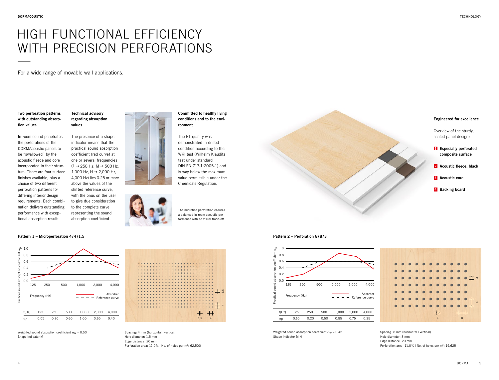## HIGH FUNCTIONAL EFFICIENCY WITH PRECISION PERFORATIONS —<br>—<br>—

For a wide range of movable wall applications.

**Two perforation patterns with outstanding absorption values**

In-room sound penetrates the perforations of the DORMAcoustic panels to be "swallowed" by the acoustic fleece and core incorporated in their structure. There are four surface finishes available, plus a choice of two different perforation patterns for differing interior design requirements. Each combination delivers outstanding performance with exceptional absorption results.

### **Technical advisory regarding absorption values**

The presence of a shape indicator means that the practical sound absorption coefficient (red curve) at one or several frequencies  $(1 \rightarrow 250$  Hz, M  $\rightarrow 500$  Hz, 1,000 Hz, H  $\rightarrow$  2,000 Hz, 4,000 Hz) lies 0.25 or more above the values of the shifted reference curve, with the onus on the user to give due consideration to the complete curve representing the sound

absorption coefficient.

#### **Pattern 1 – Microperforation 4/4/1.5**



Weighted sound absorption coefficient  $\alpha_{\text{W}} = 0.50$ Shape indicator M



Spacing: 4 mm (horizontal | vertical) Hole diameter: 1.5 mm Edge distance: 20 mm Perforation area: 11.0% | No. of holes per m<sup>2</sup>: 62,500

**Committed to healthy living conditions and to the environment**

The E1 quality was demonstrated in drilled condition according to the WKI test (Wilhelm Klauditz test under standard DIN EN 717-1:2005-1) and is way below the maximum value permissible under the Chemicals Regulation.

The microfine perforation ensures a balanced in-room acoustic performance with no visual trade-off.



#### **Pattern 2 – Perforation 8/8/3**



Weighted sound absorption coefficient  $\alpha_w = 0.45$ Shape indicator M H



Spacing: 8 mm (horizontal I vertical) Hole diameter: 3 mm Edge distance: 20 mm Perforation area: 11.0% | No. of holes per m<sup>2</sup>: 15,625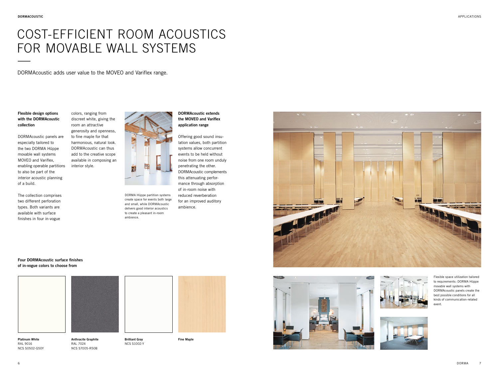# COST-EFFICIENT ROOM ACOUSTICS FOR MOVABLE WALL SYSTEMS

DORMAcoustic adds user value to the MOVEO and Variflex range.

**Flexible design options with the DORMAcoustic collection**

DORMAcoustic panels are especially tailored to the two DORMA Hüppe movable wall systems MOVEO and Variflex, enabling operable partitions to also be part of the interior acoustic planning of a build.

two different perforation types. Both variants are available with surface finishes in four in-vogue

colors, ranging from discreet white, giving the room an attractive

> to fine maple for that harmonious, natural look. DORMAcoustic can thus add to the creative scope available in composing an interior style.

The collection comprises

generosity and openness, Ħ

> DORMA Hüppe partition systems create space for events both large and small, while DORMAcoustic delivers good interior acoustics to create a pleasant in-room ambience.

**DORMAcoustic extends the MOVEO and Variflex application range**

Offering good sound insulation values, both partition systems allow concurrent events to be held without noise from one room unduly penetrating the other. DORMAcoustic complements this attenuating performance through absorption of in-room noise with reduced reverberation for an improved auditory ambience.



**Four DORMAcoustic surface finishes of in-vogue colors to choose from**



**Anthracite Graphite** RAL 7024 NCS S7005-R50B





**Fine Maple**





Flexible space utilization tailored to requirements: DORMA Hüppe movable wall systems with DORMAcoustic panels create the best possible conditions for all kinds of communication-related event.



RAL 9016 NCS S0502-G50Y